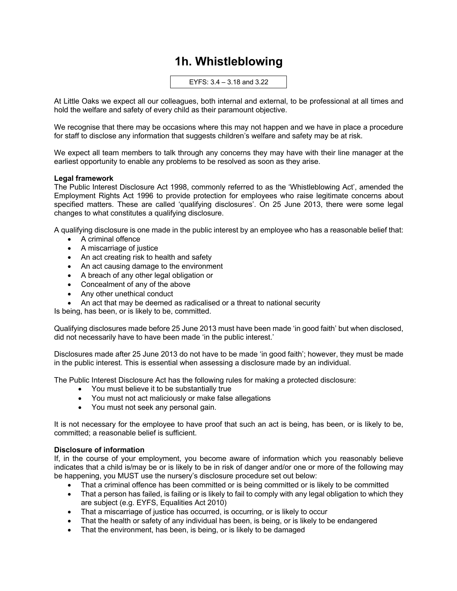## **1h. Whistleblowing**

EYFS: 3.4 – 3.18 and 3.22

At Little Oaks we expect all our colleagues, both internal and external, to be professional at all times and hold the welfare and safety of every child as their paramount objective.

We recognise that there may be occasions where this may not happen and we have in place a procedure for staff to disclose any information that suggests children's welfare and safety may be at risk.

We expect all team members to talk through any concerns they may have with their line manager at the earliest opportunity to enable any problems to be resolved as soon as they arise.

## **Legal framework**

The Public Interest Disclosure Act 1998, commonly referred to as the 'Whistleblowing Act', amended the Employment Rights Act 1996 to provide protection for employees who raise legitimate concerns about specified matters. These are called 'qualifying disclosures'. On 25 June 2013, there were some legal changes to what constitutes a qualifying disclosure.

A qualifying disclosure is one made in the public interest by an employee who has a reasonable belief that:

- A criminal offence
- A miscarriage of justice
- An act creating risk to health and safety
- An act causing damage to the environment
- A breach of any other legal obligation or
- Concealment of any of the above
- Any other unethical conduct
- An act that may be deemed as radicalised or a threat to national security

Is being, has been, or is likely to be, committed.

Qualifying disclosures made before 25 June 2013 must have been made 'in good faith' but when disclosed, did not necessarily have to have been made 'in the public interest.'

Disclosures made after 25 June 2013 do not have to be made 'in good faith'; however, they must be made in the public interest. This is essential when assessing a disclosure made by an individual.

The Public Interest Disclosure Act has the following rules for making a protected disclosure:

- You must believe it to be substantially true
- You must not act maliciously or make false allegations
- You must not seek any personal gain.

It is not necessary for the employee to have proof that such an act is being, has been, or is likely to be, committed; a reasonable belief is sufficient.

## **Disclosure of information**

If, in the course of your employment, you become aware of information which you reasonably believe indicates that a child is/may be or is likely to be in risk of danger and/or one or more of the following may be happening, you MUST use the nursery's disclosure procedure set out below:

- That a criminal offence has been committed or is being committed or is likely to be committed
- That a person has failed, is failing or is likely to fail to comply with any legal obligation to which they are subject (e.g. EYFS, Equalities Act 2010)
- That a miscarriage of justice has occurred, is occurring, or is likely to occur
- That the health or safety of any individual has been, is being, or is likely to be endangered
- That the environment, has been, is being, or is likely to be damaged